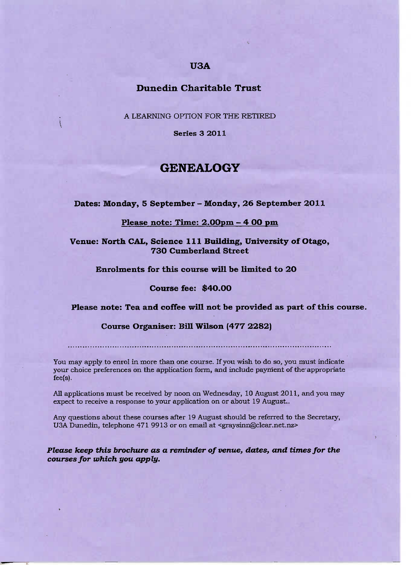## **USA**

## **Dunedin Charitable Trust**

A LEARNING OPTION FOR THE RETIRED

**Series 3 2011**

# **GENEALOGY**

**Dates: Monday, 5 September - Monday, 26 September 2011**

### **Please note: Time: 2.00pm - 4 OO pm**

**Venue: North CAL, Science 111 Building, University of Otago, 730 Cumberland Street**

**Enrolments for this course will be limited to 20**

#### **Course fee: \$4O.OO**

### **Please note: Tea and coffee will not be provided as part of this course.**

### **Course Organiser: Bill Wilson (477 2282)**

You may apply to enrol in more than one course. If you wish to do so, you must indicate your choice preferences on the application form, and include payment of the appropriate fee(s).

All applications must be received by noon on Wednesday, 10 August 2011, and you may expect to receive a response to your application on or about 19 August..

Any questions about these courses after 19 August should be referred to the Secretary, USA Dunedin, telephone 471 9913 or on email at <graysinn@clear.net.nz>

*Please keep this brochure as* **a** *reminder of venue, dates., and times for the courses for which you apply.*